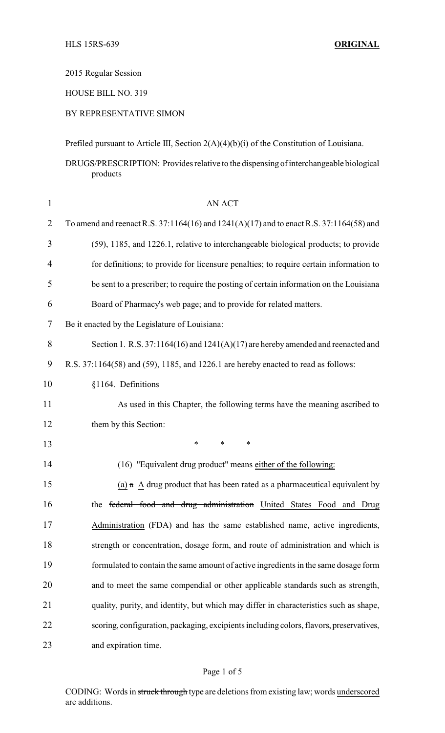2015 Regular Session

HOUSE BILL NO. 319

BY REPRESENTATIVE SIMON

Prefiled pursuant to Article III, Section 2(A)(4)(b)(i) of the Constitution of Louisiana.

DRUGS/PRESCRIPTION: Provides relative to the dispensing of interchangeable biological products

| $\mathbf{1}$   | AN ACT                                                                                  |
|----------------|-----------------------------------------------------------------------------------------|
| $\overline{2}$ | To amend and reenact R.S. 37:1164(16) and 1241(A)(17) and to enact R.S. 37:1164(58) and |
| 3              | (59), 1185, and 1226.1, relative to interchangeable biological products; to provide     |
| 4              | for definitions; to provide for licensure penalties; to require certain information to  |
| 5              | be sent to a prescriber; to require the posting of certain information on the Louisiana |
| 6              | Board of Pharmacy's web page; and to provide for related matters.                       |
| 7              | Be it enacted by the Legislature of Louisiana:                                          |
| 8              | Section 1. R.S. $37:1164(16)$ and $1241(A)(17)$ are hereby amended and reenacted and    |
| 9              | R.S. 37:1164(58) and (59), 1185, and 1226.1 are hereby enacted to read as follows:      |
| 10             | §1164. Definitions                                                                      |
| 11             | As used in this Chapter, the following terms have the meaning ascribed to               |
| 12             | them by this Section:                                                                   |
| 13             | $\ast$<br>$\ast$<br>*                                                                   |
| 14             | (16) "Equivalent drug product" means either of the following:                           |
| 15             | (a) $\alpha$ A drug product that has been rated as a pharmaceutical equivalent by       |
| 16             | the federal food and drug administration United States Food and Drug                    |
| 17             | Administration (FDA) and has the same established name, active ingredients,             |
| 18             | strength or concentration, dosage form, and route of administration and which is        |
| 19             | formulated to contain the same amount of active ingredients in the same dosage form     |
| 20             | and to meet the same compendial or other applicable standards such as strength,         |
| 21             | quality, purity, and identity, but which may differ in characteristics such as shape,   |
| 22             | scoring, configuration, packaging, excipients including colors, flavors, preservatives, |
| 23             | and expiration time.                                                                    |

CODING: Words in struck through type are deletions from existing law; words underscored are additions.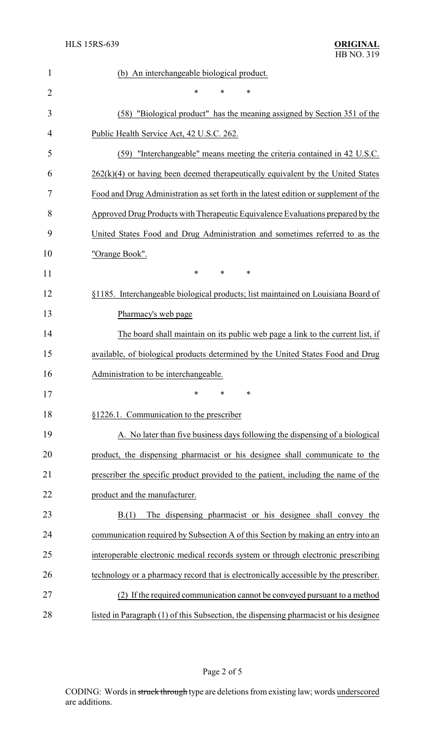| $\mathbf{1}$   | (b) An interchangeable biological product.                                            |  |  |
|----------------|---------------------------------------------------------------------------------------|--|--|
| $\overline{2}$ | *<br>*<br>∗                                                                           |  |  |
| 3              | (58) "Biological product" has the meaning assigned by Section 351 of the              |  |  |
| 4              | Public Health Service Act, 42 U.S.C. 262.                                             |  |  |
| 5              | (59) "Interchangeable" means meeting the criteria contained in 42 U.S.C.              |  |  |
| 6              | $262(k)(4)$ or having been deemed therapeutically equivalent by the United States     |  |  |
| 7              | Food and Drug Administration as set forth in the latest edition or supplement of the  |  |  |
| 8              | Approved Drug Products with Therapeutic Equivalence Evaluations prepared by the       |  |  |
| 9              | United States Food and Drug Administration and sometimes referred to as the           |  |  |
| 10             | "Orange Book".                                                                        |  |  |
| 11             | *<br>*<br>*                                                                           |  |  |
| 12             | §1185. Interchangeable biological products; list maintained on Louisiana Board of     |  |  |
| 13             | Pharmacy's web page                                                                   |  |  |
| 14             | The board shall maintain on its public web page a link to the current list, if        |  |  |
| 15             | available, of biological products determined by the United States Food and Drug       |  |  |
| 16             | Administration to be interchangeable.                                                 |  |  |
| 17             | ∗<br>∗<br>∗                                                                           |  |  |
| 18             | §1226.1. Communication to the prescriber                                              |  |  |
| 19             | A. No later than five business days following the dispensing of a biological          |  |  |
| 20             | product, the dispensing pharmacist or his designee shall communicate to the           |  |  |
| 21             | prescriber the specific product provided to the patient, including the name of the    |  |  |
| 22             | product and the manufacturer.                                                         |  |  |
| 23             | The dispensing pharmacist or his designee shall convey the<br>B(1)                    |  |  |
| 24             | communication required by Subsection A of this Section by making an entry into an     |  |  |
| 25             | interoperable electronic medical records system or through electronic prescribing     |  |  |
| 26             | technology or a pharmacy record that is electronically accessible by the prescriber.  |  |  |
| 27             | (2) If the required communication cannot be conveyed pursuant to a method             |  |  |
| 28             | listed in Paragraph (1) of this Subsection, the dispensing pharmacist or his designee |  |  |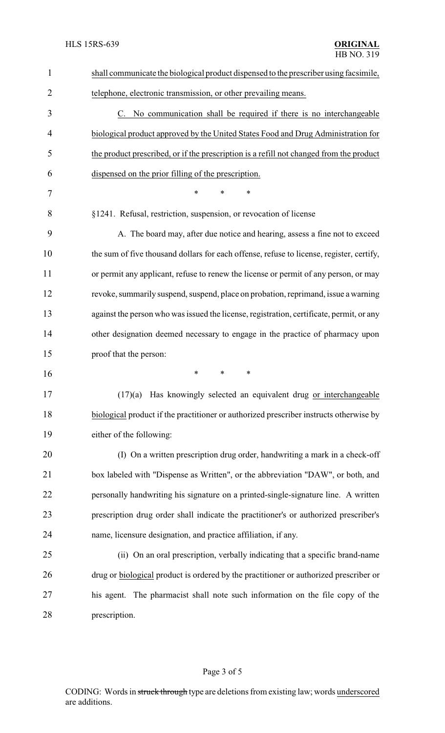| 1              | shall communicate the biological product dispensed to the prescriber using facsimile,    |  |  |
|----------------|------------------------------------------------------------------------------------------|--|--|
| $\overline{2}$ | telephone, electronic transmission, or other prevailing means.                           |  |  |
| 3              | C. No communication shall be required if there is no interchangeable                     |  |  |
| $\overline{4}$ | biological product approved by the United States Food and Drug Administration for        |  |  |
| 5              | the product prescribed, or if the prescription is a refill not changed from the product  |  |  |
| 6              | dispensed on the prior filling of the prescription.                                      |  |  |
| 7              | *<br>$\ast$<br>*                                                                         |  |  |
| 8              | §1241. Refusal, restriction, suspension, or revocation of license                        |  |  |
| 9              | A. The board may, after due notice and hearing, assess a fine not to exceed              |  |  |
| 10             | the sum of five thousand dollars for each offense, refuse to license, register, certify, |  |  |
| 11             | or permit any applicant, refuse to renew the license or permit of any person, or may     |  |  |
| 12             | revoke, summarily suspend, suspend, place on probation, reprimand, issue a warning       |  |  |
| 13             | against the person who was issued the license, registration, certificate, permit, or any |  |  |
| 14             | other designation deemed necessary to engage in the practice of pharmacy upon            |  |  |
| 15             | proof that the person:                                                                   |  |  |
| 16             | ∗<br>*<br>∗                                                                              |  |  |
| 17             | $(17)(a)$ Has knowingly selected an equivalent drug or interchangeable                   |  |  |
| 18             | biological product if the practitioner or authorized prescriber instructs otherwise by   |  |  |
| 19             | either of the following:                                                                 |  |  |
| 20             | (I) On a written prescription drug order, handwriting a mark in a check-off              |  |  |
| 21             | box labeled with "Dispense as Written", or the abbreviation "DAW", or both, and          |  |  |
| 22             | personally handwriting his signature on a printed-single-signature line. A written       |  |  |
| 23             | prescription drug order shall indicate the practitioner's or authorized prescriber's     |  |  |
| 24             | name, licensure designation, and practice affiliation, if any.                           |  |  |
| 25             | (ii) On an oral prescription, verbally indicating that a specific brand-name             |  |  |
| 26             | drug or biological product is ordered by the practitioner or authorized prescriber or    |  |  |
| 27             | The pharmacist shall note such information on the file copy of the<br>his agent.         |  |  |
| 28             | prescription.                                                                            |  |  |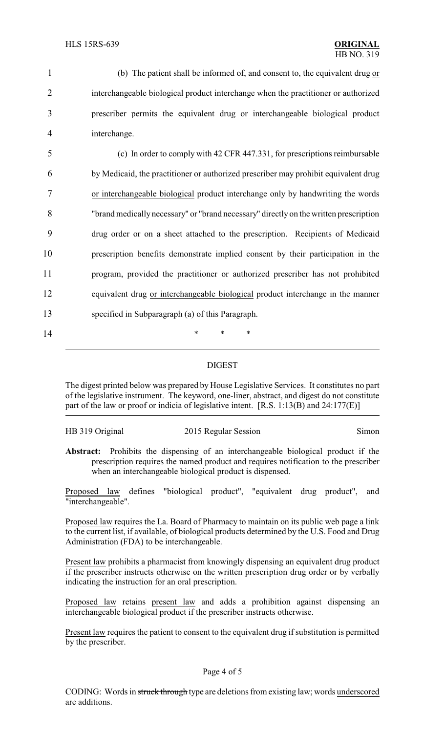|   | (b) The patient shall be informed of, and consent to, the equivalent drug or       |
|---|------------------------------------------------------------------------------------|
|   | interchangeable biological product interchange when the practitioner or authorized |
| 3 | prescriber permits the equivalent drug or interchangeable biological product       |
| 4 | interchange.                                                                       |

 (c) In order to comply with 42 CFR 447.331, for prescriptions reimbursable by Medicaid, the practitioner or authorized prescriber may prohibit equivalent drug or interchangeable biological product interchange only by handwriting the words "brand medically necessary" or "brand necessary" directly on the written prescription drug order or on a sheet attached to the prescription. Recipients of Medicaid prescription benefits demonstrate implied consent by their participation in the program, provided the practitioner or authorized prescriber has not prohibited equivalent drug or interchangeable biological product interchange in the manner specified in Subparagraph (a) of this Paragraph.

## DIGEST

The digest printed below was prepared by House Legislative Services. It constitutes no part of the legislative instrument. The keyword, one-liner, abstract, and digest do not constitute part of the law or proof or indicia of legislative intent. [R.S. 1:13(B) and 24:177(E)]

| HB 319 Original | 2015 Regular Session | Sımon |
|-----------------|----------------------|-------|

14 **\*** \* \* \*

**Abstract:** Prohibits the dispensing of an interchangeable biological product if the prescription requires the named product and requires notification to the prescriber when an interchangeable biological product is dispensed.

Proposed law defines "biological product", "equivalent drug product", and "interchangeable".

Proposed law requires the La. Board of Pharmacy to maintain on its public web page a link to the current list, if available, of biological products determined by the U.S. Food and Drug Administration (FDA) to be interchangeable.

Present law prohibits a pharmacist from knowingly dispensing an equivalent drug product if the prescriber instructs otherwise on the written prescription drug order or by verbally indicating the instruction for an oral prescription.

Proposed law retains present law and adds a prohibition against dispensing an interchangeable biological product if the prescriber instructs otherwise.

Present law requires the patient to consent to the equivalent drug if substitution is permitted by the prescriber.

## Page 4 of 5

CODING: Words in struck through type are deletions from existing law; words underscored are additions.